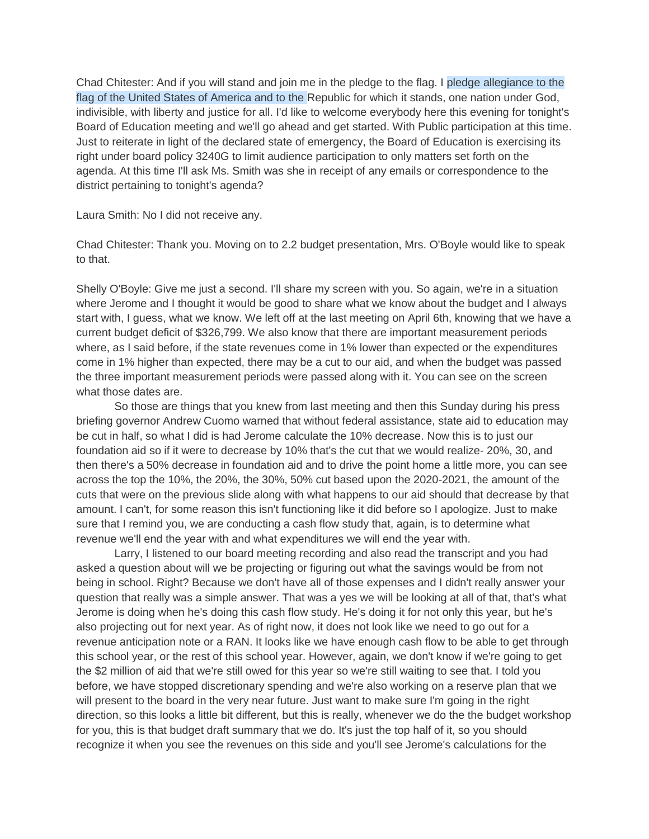Chad Chitester: And if you will stand and join me in the pledge to the flag. I pledge allegiance to the flag of the United States of America and to the Republic for which it stands, one nation under God, indivisible, with liberty and justice for all. I'd like to welcome everybody here this evening for tonight's Board of Education meeting and we'll go ahead and get started. With Public participation at this time. Just to reiterate in light of the declared state of emergency, the Board of Education is exercising its right under board policy 3240G to limit audience participation to only matters set forth on the agenda. At this time I'll ask Ms. Smith was she in receipt of any emails or correspondence to the district pertaining to tonight's agenda?

Laura Smith: No I did not receive any.

Chad Chitester: Thank you. Moving on to 2.2 budget presentation, Mrs. O'Boyle would like to speak to that.

Shelly O'Boyle: Give me just a second. I'll share my screen with you. So again, we're in a situation where Jerome and I thought it would be good to share what we know about the budget and I always start with, I guess, what we know. We left off at the last meeting on April 6th, knowing that we have a current budget deficit of \$326,799. We also know that there are important measurement periods where, as I said before, if the state revenues come in 1% lower than expected or the expenditures come in 1% higher than expected, there may be a cut to our aid, and when the budget was passed the three important measurement periods were passed along with it. You can see on the screen what those dates are.

So those are things that you knew from last meeting and then this Sunday during his press briefing governor Andrew Cuomo warned that without federal assistance, state aid to education may be cut in half, so what I did is had Jerome calculate the 10% decrease. Now this is to just our foundation aid so if it were to decrease by 10% that's the cut that we would realize- 20%, 30, and then there's a 50% decrease in foundation aid and to drive the point home a little more, you can see across the top the 10%, the 20%, the 30%, 50% cut based upon the 2020-2021, the amount of the cuts that were on the previous slide along with what happens to our aid should that decrease by that amount. I can't, for some reason this isn't functioning like it did before so I apologize. Just to make sure that I remind you, we are conducting a cash flow study that, again, is to determine what revenue we'll end the year with and what expenditures we will end the year with.

Larry, I listened to our board meeting recording and also read the transcript and you had asked a question about will we be projecting or figuring out what the savings would be from not being in school. Right? Because we don't have all of those expenses and I didn't really answer your question that really was a simple answer. That was a yes we will be looking at all of that, that's what Jerome is doing when he's doing this cash flow study. He's doing it for not only this year, but he's also projecting out for next year. As of right now, it does not look like we need to go out for a revenue anticipation note or a RAN. It looks like we have enough cash flow to be able to get through this school year, or the rest of this school year. However, again, we don't know if we're going to get the \$2 million of aid that we're still owed for this year so we're still waiting to see that. I told you before, we have stopped discretionary spending and we're also working on a reserve plan that we will present to the board in the very near future. Just want to make sure I'm going in the right direction, so this looks a little bit different, but this is really, whenever we do the the budget workshop for you, this is that budget draft summary that we do. It's just the top half of it, so you should recognize it when you see the revenues on this side and you'll see Jerome's calculations for the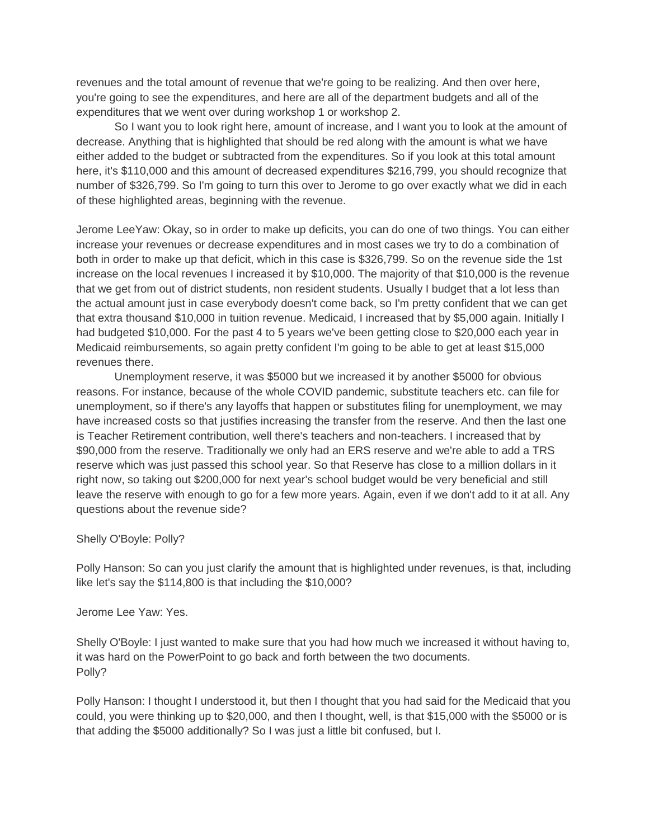revenues and the total amount of revenue that we're going to be realizing. And then over here, you're going to see the expenditures, and here are all of the department budgets and all of the expenditures that we went over during workshop 1 or workshop 2.

So I want you to look right here, amount of increase, and I want you to look at the amount of decrease. Anything that is highlighted that should be red along with the amount is what we have either added to the budget or subtracted from the expenditures. So if you look at this total amount here, it's \$110,000 and this amount of decreased expenditures \$216,799, you should recognize that number of \$326,799. So I'm going to turn this over to Jerome to go over exactly what we did in each of these highlighted areas, beginning with the revenue.

Jerome LeeYaw: Okay, so in order to make up deficits, you can do one of two things. You can either increase your revenues or decrease expenditures and in most cases we try to do a combination of both in order to make up that deficit, which in this case is \$326,799. So on the revenue side the 1st increase on the local revenues I increased it by \$10,000. The majority of that \$10,000 is the revenue that we get from out of district students, non resident students. Usually I budget that a lot less than the actual amount just in case everybody doesn't come back, so I'm pretty confident that we can get that extra thousand \$10,000 in tuition revenue. Medicaid, I increased that by \$5,000 again. Initially I had budgeted \$10,000. For the past 4 to 5 years we've been getting close to \$20,000 each year in Medicaid reimbursements, so again pretty confident I'm going to be able to get at least \$15,000 revenues there.

Unemployment reserve, it was \$5000 but we increased it by another \$5000 for obvious reasons. For instance, because of the whole COVID pandemic, substitute teachers etc. can file for unemployment, so if there's any layoffs that happen or substitutes filing for unemployment, we may have increased costs so that justifies increasing the transfer from the reserve. And then the last one is Teacher Retirement contribution, well there's teachers and non-teachers. I increased that by \$90,000 from the reserve. Traditionally we only had an ERS reserve and we're able to add a TRS reserve which was just passed this school year. So that Reserve has close to a million dollars in it right now, so taking out \$200,000 for next year's school budget would be very beneficial and still leave the reserve with enough to go for a few more years. Again, even if we don't add to it at all. Any questions about the revenue side?

Shelly O'Boyle: Polly?

Polly Hanson: So can you just clarify the amount that is highlighted under revenues, is that, including like let's say the \$114,800 is that including the \$10,000?

Jerome Lee Yaw: Yes.

Shelly O'Boyle: I just wanted to make sure that you had how much we increased it without having to, it was hard on the PowerPoint to go back and forth between the two documents. Polly?

Polly Hanson: I thought I understood it, but then I thought that you had said for the Medicaid that you could, you were thinking up to \$20,000, and then I thought, well, is that \$15,000 with the \$5000 or is that adding the \$5000 additionally? So I was just a little bit confused, but I.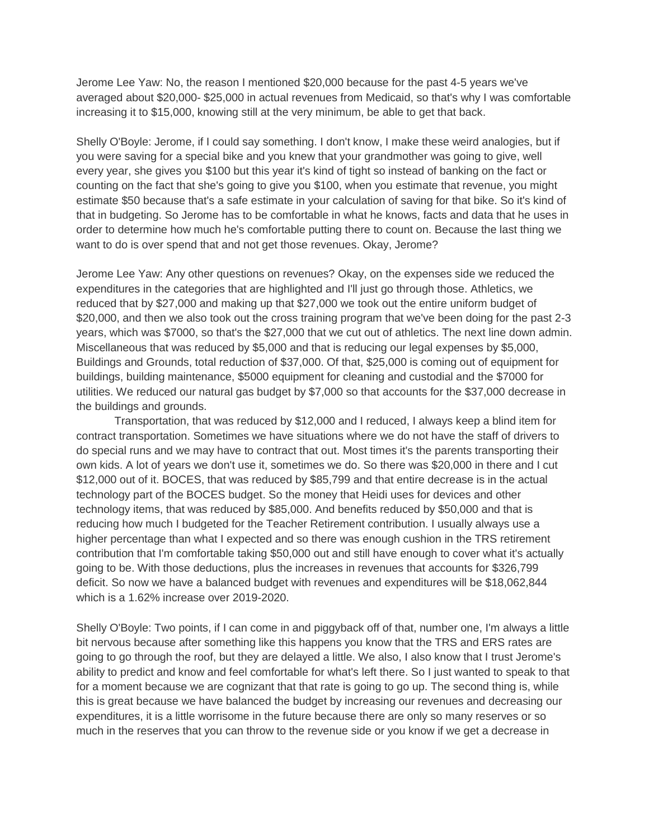Jerome Lee Yaw: No, the reason I mentioned \$20,000 because for the past 4-5 years we've averaged about \$20,000- \$25,000 in actual revenues from Medicaid, so that's why I was comfortable increasing it to \$15,000, knowing still at the very minimum, be able to get that back.

Shelly O'Boyle: Jerome, if I could say something. I don't know, I make these weird analogies, but if you were saving for a special bike and you knew that your grandmother was going to give, well every year, she gives you \$100 but this year it's kind of tight so instead of banking on the fact or counting on the fact that she's going to give you \$100, when you estimate that revenue, you might estimate \$50 because that's a safe estimate in your calculation of saving for that bike. So it's kind of that in budgeting. So Jerome has to be comfortable in what he knows, facts and data that he uses in order to determine how much he's comfortable putting there to count on. Because the last thing we want to do is over spend that and not get those revenues. Okay, Jerome?

Jerome Lee Yaw: Any other questions on revenues? Okay, on the expenses side we reduced the expenditures in the categories that are highlighted and I'll just go through those. Athletics, we reduced that by \$27,000 and making up that \$27,000 we took out the entire uniform budget of \$20,000, and then we also took out the cross training program that we've been doing for the past 2-3 years, which was \$7000, so that's the \$27,000 that we cut out of athletics. The next line down admin. Miscellaneous that was reduced by \$5,000 and that is reducing our legal expenses by \$5,000, Buildings and Grounds, total reduction of \$37,000. Of that, \$25,000 is coming out of equipment for buildings, building maintenance, \$5000 equipment for cleaning and custodial and the \$7000 for utilities. We reduced our natural gas budget by \$7,000 so that accounts for the \$37,000 decrease in the buildings and grounds.

Transportation, that was reduced by \$12,000 and I reduced, I always keep a blind item for contract transportation. Sometimes we have situations where we do not have the staff of drivers to do special runs and we may have to contract that out. Most times it's the parents transporting their own kids. A lot of years we don't use it, sometimes we do. So there was \$20,000 in there and I cut \$12,000 out of it. BOCES, that was reduced by \$85,799 and that entire decrease is in the actual technology part of the BOCES budget. So the money that Heidi uses for devices and other technology items, that was reduced by \$85,000. And benefits reduced by \$50,000 and that is reducing how much I budgeted for the Teacher Retirement contribution. I usually always use a higher percentage than what I expected and so there was enough cushion in the TRS retirement contribution that I'm comfortable taking \$50,000 out and still have enough to cover what it's actually going to be. With those deductions, plus the increases in revenues that accounts for \$326,799 deficit. So now we have a balanced budget with revenues and expenditures will be \$18,062,844 which is a 1.62% increase over 2019-2020.

Shelly O'Boyle: Two points, if I can come in and piggyback off of that, number one, I'm always a little bit nervous because after something like this happens you know that the TRS and ERS rates are going to go through the roof, but they are delayed a little. We also, I also know that I trust Jerome's ability to predict and know and feel comfortable for what's left there. So I just wanted to speak to that for a moment because we are cognizant that that rate is going to go up. The second thing is, while this is great because we have balanced the budget by increasing our revenues and decreasing our expenditures, it is a little worrisome in the future because there are only so many reserves or so much in the reserves that you can throw to the revenue side or you know if we get a decrease in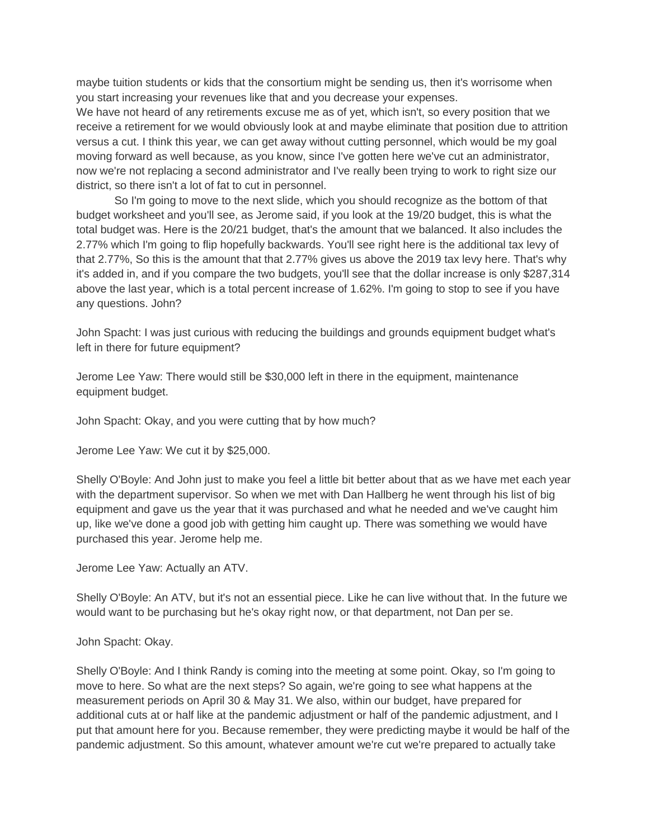maybe tuition students or kids that the consortium might be sending us, then it's worrisome when you start increasing your revenues like that and you decrease your expenses.

We have not heard of any retirements excuse me as of yet, which isn't, so every position that we receive a retirement for we would obviously look at and maybe eliminate that position due to attrition versus a cut. I think this year, we can get away without cutting personnel, which would be my goal moving forward as well because, as you know, since I've gotten here we've cut an administrator, now we're not replacing a second administrator and I've really been trying to work to right size our district, so there isn't a lot of fat to cut in personnel.

So I'm going to move to the next slide, which you should recognize as the bottom of that budget worksheet and you'll see, as Jerome said, if you look at the 19/20 budget, this is what the total budget was. Here is the 20/21 budget, that's the amount that we balanced. It also includes the 2.77% which I'm going to flip hopefully backwards. You'll see right here is the additional tax levy of that 2.77%, So this is the amount that that 2.77% gives us above the 2019 tax levy here. That's why it's added in, and if you compare the two budgets, you'll see that the dollar increase is only \$287,314 above the last year, which is a total percent increase of 1.62%. I'm going to stop to see if you have any questions. John?

John Spacht: I was just curious with reducing the buildings and grounds equipment budget what's left in there for future equipment?

Jerome Lee Yaw: There would still be \$30,000 left in there in the equipment, maintenance equipment budget.

John Spacht: Okay, and you were cutting that by how much?

Jerome Lee Yaw: We cut it by \$25,000.

Shelly O'Boyle: And John just to make you feel a little bit better about that as we have met each year with the department supervisor. So when we met with Dan Hallberg he went through his list of big equipment and gave us the year that it was purchased and what he needed and we've caught him up, like we've done a good job with getting him caught up. There was something we would have purchased this year. Jerome help me.

Jerome Lee Yaw: Actually an ATV.

Shelly O'Boyle: An ATV, but it's not an essential piece. Like he can live without that. In the future we would want to be purchasing but he's okay right now, or that department, not Dan per se.

John Spacht: Okay.

Shelly O'Boyle: And I think Randy is coming into the meeting at some point. Okay, so I'm going to move to here. So what are the next steps? So again, we're going to see what happens at the measurement periods on April 30 & May 31. We also, within our budget, have prepared for additional cuts at or half like at the pandemic adjustment or half of the pandemic adjustment, and I put that amount here for you. Because remember, they were predicting maybe it would be half of the pandemic adjustment. So this amount, whatever amount we're cut we're prepared to actually take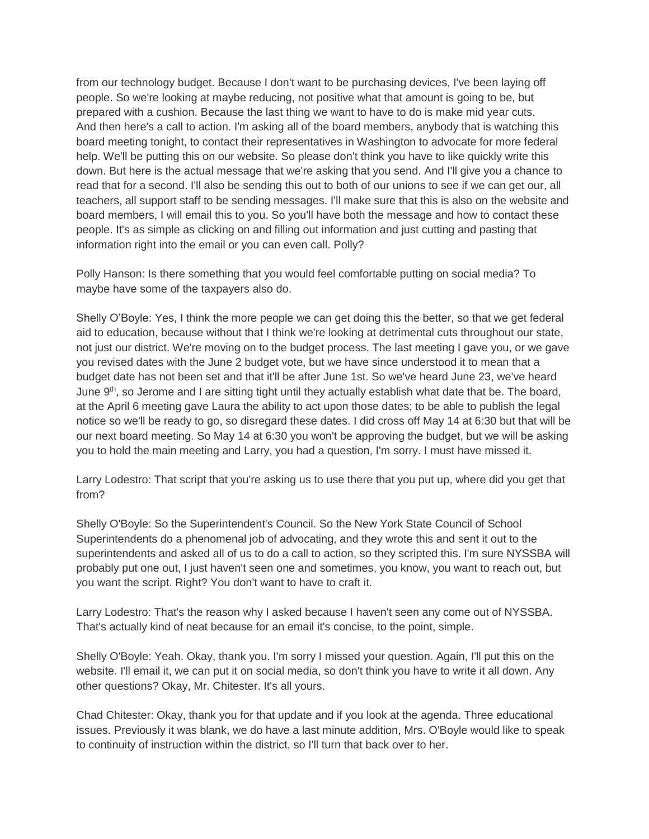from our technology budget. Because I don't want to be purchasing devices, I've been laying off people. So we're looking at maybe reducing, not positive what that amount is going to be, but prepared with a cushion. Because the last thing we want to have to do is make mid year cuts. And then here's a call to action. I'm asking all of the board members, anybody that is watching this board meeting tonight, to contact their representatives in Washington to advocate for more federal help. We'll be putting this on our website. So please don't think you have to like quickly write this down. But here is the actual message that we're asking that you send. And I'll give you a chance to read that for a second. I'll also be sending this out to both of our unions to see if we can get our, all teachers, all support staff to be sending messages. I'll make sure that this is also on the website and board members, I will email this to you. So you'll have both the message and how to contact these people. It's as simple as clicking on and filling out information and just cutting and pasting that information right into the email or you can even call. Polly?

Polly Hanson: Is there something that you would feel comfortable putting on social media? To maybe have some of the taxpayers also do.

Shelly O'Boyle: Yes, I think the more people we can get doing this the better, so that we get federal aid to education, because without that I think we're looking at detrimental cuts throughout our state, not just our district. We're moving on to the budget process. The last meeting I gave you, or we gave you revised dates with the June 2 budget vote, but we have since understood it to mean that a budget date has not been set and that it'll be after June 1st. So we've heard June 23, we've heard June 9th, so Jerome and I are sitting tight until they actually establish what date that be. The board, at the April 6 meeting gave Laura the ability to act upon those dates; to be able to publish the legal notice so we'll be ready to go, so disregard these dates. I did cross off May 14 at 6:30 but that will be our next board meeting. So May 14 at 6:30 you won't be approving the budget, but we will be asking you to hold the main meeting and Larry, you had a question, I'm sorry. I must have missed it.

Larry Lodestro: That script that you're asking us to use there that you put up, where did you get that from?

Shelly O'Boyle: So the Superintendent's Council. So the New York State Council of School Superintendents do a phenomenal job of advocating, and they wrote this and sent it out to the superintendents and asked all of us to do a call to action, so they scripted this. I'm sure NYSSBA will probably put one out, I just haven't seen one and sometimes, you know, you want to reach out, but you want the script. Right? You don't want to have to craft it.

Larry Lodestro: That's the reason why I asked because I haven't seen any come out of NYSSBA. That's actually kind of neat because for an email it's concise, to the point, simple.

Shelly O'Boyle: Yeah. Okay, thank you. I'm sorry I missed your question. Again, I'll put this on the website. I'll email it, we can put it on social media, so don't think you have to write it all down. Any other questions? Okay, Mr. Chitester. It's all yours.

Chad Chitester: Okay, thank you for that update and if you look at the agenda. Three educational issues. Previously it was blank, we do have a last minute addition, Mrs. O'Boyle would like to speak to continuity of instruction within the district, so I'll turn that back over to her.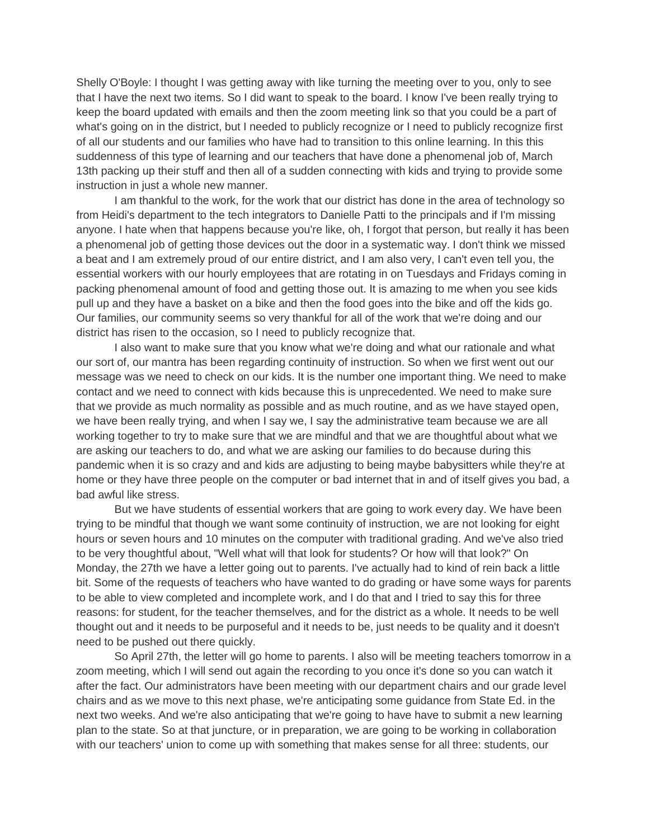Shelly O'Boyle: I thought I was getting away with like turning the meeting over to you, only to see that I have the next two items. So I did want to speak to the board. I know I've been really trying to keep the board updated with emails and then the zoom meeting link so that you could be a part of what's going on in the district, but I needed to publicly recognize or I need to publicly recognize first of all our students and our families who have had to transition to this online learning. In this this suddenness of this type of learning and our teachers that have done a phenomenal job of, March 13th packing up their stuff and then all of a sudden connecting with kids and trying to provide some instruction in just a whole new manner.

I am thankful to the work, for the work that our district has done in the area of technology so from Heidi's department to the tech integrators to Danielle Patti to the principals and if I'm missing anyone. I hate when that happens because you're like, oh, I forgot that person, but really it has been a phenomenal job of getting those devices out the door in a systematic way. I don't think we missed a beat and I am extremely proud of our entire district, and I am also very, I can't even tell you, the essential workers with our hourly employees that are rotating in on Tuesdays and Fridays coming in packing phenomenal amount of food and getting those out. It is amazing to me when you see kids pull up and they have a basket on a bike and then the food goes into the bike and off the kids go. Our families, our community seems so very thankful for all of the work that we're doing and our district has risen to the occasion, so I need to publicly recognize that.

I also want to make sure that you know what we're doing and what our rationale and what our sort of, our mantra has been regarding continuity of instruction. So when we first went out our message was we need to check on our kids. It is the number one important thing. We need to make contact and we need to connect with kids because this is unprecedented. We need to make sure that we provide as much normality as possible and as much routine, and as we have stayed open, we have been really trying, and when I say we, I say the administrative team because we are all working together to try to make sure that we are mindful and that we are thoughtful about what we are asking our teachers to do, and what we are asking our families to do because during this pandemic when it is so crazy and and kids are adjusting to being maybe babysitters while they're at home or they have three people on the computer or bad internet that in and of itself gives you bad, a bad awful like stress.

But we have students of essential workers that are going to work every day. We have been trying to be mindful that though we want some continuity of instruction, we are not looking for eight hours or seven hours and 10 minutes on the computer with traditional grading. And we've also tried to be very thoughtful about, "Well what will that look for students? Or how will that look?" On Monday, the 27th we have a letter going out to parents. I've actually had to kind of rein back a little bit. Some of the requests of teachers who have wanted to do grading or have some ways for parents to be able to view completed and incomplete work, and I do that and I tried to say this for three reasons: for student, for the teacher themselves, and for the district as a whole. It needs to be well thought out and it needs to be purposeful and it needs to be, just needs to be quality and it doesn't need to be pushed out there quickly.

So April 27th, the letter will go home to parents. I also will be meeting teachers tomorrow in a zoom meeting, which I will send out again the recording to you once it's done so you can watch it after the fact. Our administrators have been meeting with our department chairs and our grade level chairs and as we move to this next phase, we're anticipating some guidance from State Ed. in the next two weeks. And we're also anticipating that we're going to have have to submit a new learning plan to the state. So at that juncture, or in preparation, we are going to be working in collaboration with our teachers' union to come up with something that makes sense for all three: students, our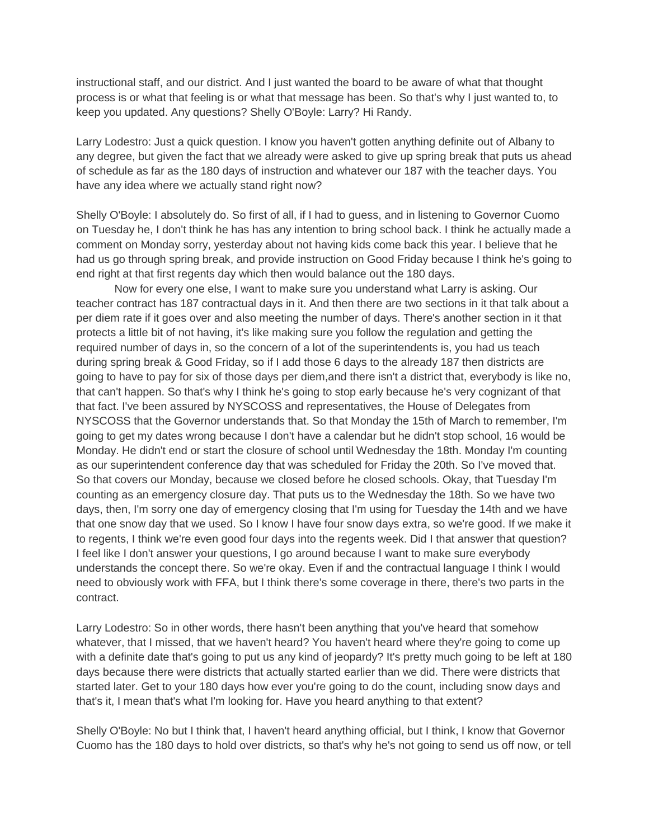instructional staff, and our district. And I just wanted the board to be aware of what that thought process is or what that feeling is or what that message has been. So that's why I just wanted to, to keep you updated. Any questions? Shelly O'Boyle: Larry? Hi Randy.

Larry Lodestro: Just a quick question. I know you haven't gotten anything definite out of Albany to any degree, but given the fact that we already were asked to give up spring break that puts us ahead of schedule as far as the 180 days of instruction and whatever our 187 with the teacher days. You have any idea where we actually stand right now?

Shelly O'Boyle: I absolutely do. So first of all, if I had to guess, and in listening to Governor Cuomo on Tuesday he, I don't think he has has any intention to bring school back. I think he actually made a comment on Monday sorry, yesterday about not having kids come back this year. I believe that he had us go through spring break, and provide instruction on Good Friday because I think he's going to end right at that first regents day which then would balance out the 180 days.

Now for every one else, I want to make sure you understand what Larry is asking. Our teacher contract has 187 contractual days in it. And then there are two sections in it that talk about a per diem rate if it goes over and also meeting the number of days. There's another section in it that protects a little bit of not having, it's like making sure you follow the regulation and getting the required number of days in, so the concern of a lot of the superintendents is, you had us teach during spring break & Good Friday, so if I add those 6 days to the already 187 then districts are going to have to pay for six of those days per diem,and there isn't a district that, everybody is like no, that can't happen. So that's why I think he's going to stop early because he's very cognizant of that that fact. I've been assured by NYSCOSS and representatives, the House of Delegates from NYSCOSS that the Governor understands that. So that Monday the 15th of March to remember, I'm going to get my dates wrong because I don't have a calendar but he didn't stop school, 16 would be Monday. He didn't end or start the closure of school until Wednesday the 18th. Monday I'm counting as our superintendent conference day that was scheduled for Friday the 20th. So I've moved that. So that covers our Monday, because we closed before he closed schools. Okay, that Tuesday I'm counting as an emergency closure day. That puts us to the Wednesday the 18th. So we have two days, then, I'm sorry one day of emergency closing that I'm using for Tuesday the 14th and we have that one snow day that we used. So I know I have four snow days extra, so we're good. If we make it to regents, I think we're even good four days into the regents week. Did I that answer that question? I feel like I don't answer your questions, I go around because I want to make sure everybody understands the concept there. So we're okay. Even if and the contractual language I think I would need to obviously work with FFA, but I think there's some coverage in there, there's two parts in the contract.

Larry Lodestro: So in other words, there hasn't been anything that you've heard that somehow whatever, that I missed, that we haven't heard? You haven't heard where they're going to come up with a definite date that's going to put us any kind of jeopardy? It's pretty much going to be left at 180 days because there were districts that actually started earlier than we did. There were districts that started later. Get to your 180 days how ever you're going to do the count, including snow days and that's it, I mean that's what I'm looking for. Have you heard anything to that extent?

Shelly O'Boyle: No but I think that, I haven't heard anything official, but I think, I know that Governor Cuomo has the 180 days to hold over districts, so that's why he's not going to send us off now, or tell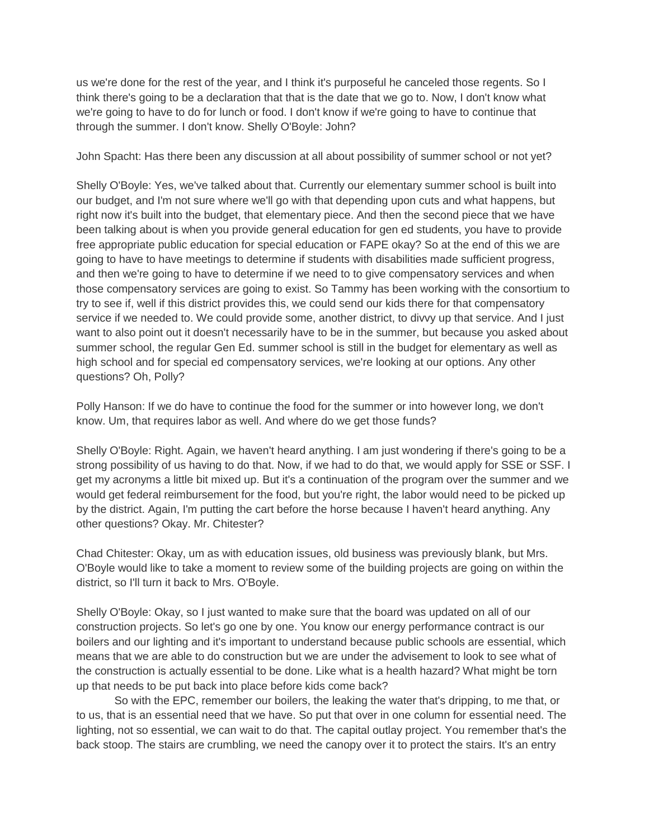us we're done for the rest of the year, and I think it's purposeful he canceled those regents. So I think there's going to be a declaration that that is the date that we go to. Now, I don't know what we're going to have to do for lunch or food. I don't know if we're going to have to continue that through the summer. I don't know. Shelly O'Boyle: John?

John Spacht: Has there been any discussion at all about possibility of summer school or not yet?

Shelly O'Boyle: Yes, we've talked about that. Currently our elementary summer school is built into our budget, and I'm not sure where we'll go with that depending upon cuts and what happens, but right now it's built into the budget, that elementary piece. And then the second piece that we have been talking about is when you provide general education for gen ed students, you have to provide free appropriate public education for special education or FAPE okay? So at the end of this we are going to have to have meetings to determine if students with disabilities made sufficient progress, and then we're going to have to determine if we need to to give compensatory services and when those compensatory services are going to exist. So Tammy has been working with the consortium to try to see if, well if this district provides this, we could send our kids there for that compensatory service if we needed to. We could provide some, another district, to divvy up that service. And I just want to also point out it doesn't necessarily have to be in the summer, but because you asked about summer school, the regular Gen Ed. summer school is still in the budget for elementary as well as high school and for special ed compensatory services, we're looking at our options. Any other questions? Oh, Polly?

Polly Hanson: If we do have to continue the food for the summer or into however long, we don't know. Um, that requires labor as well. And where do we get those funds?

Shelly O'Boyle: Right. Again, we haven't heard anything. I am just wondering if there's going to be a strong possibility of us having to do that. Now, if we had to do that, we would apply for SSE or SSF. I get my acronyms a little bit mixed up. But it's a continuation of the program over the summer and we would get federal reimbursement for the food, but you're right, the labor would need to be picked up by the district. Again, I'm putting the cart before the horse because I haven't heard anything. Any other questions? Okay. Mr. Chitester?

Chad Chitester: Okay, um as with education issues, old business was previously blank, but Mrs. O'Boyle would like to take a moment to review some of the building projects are going on within the district, so I'll turn it back to Mrs. O'Boyle.

Shelly O'Boyle: Okay, so I just wanted to make sure that the board was updated on all of our construction projects. So let's go one by one. You know our energy performance contract is our boilers and our lighting and it's important to understand because public schools are essential, which means that we are able to do construction but we are under the advisement to look to see what of the construction is actually essential to be done. Like what is a health hazard? What might be torn up that needs to be put back into place before kids come back?

So with the EPC, remember our boilers, the leaking the water that's dripping, to me that, or to us, that is an essential need that we have. So put that over in one column for essential need. The lighting, not so essential, we can wait to do that. The capital outlay project. You remember that's the back stoop. The stairs are crumbling, we need the canopy over it to protect the stairs. It's an entry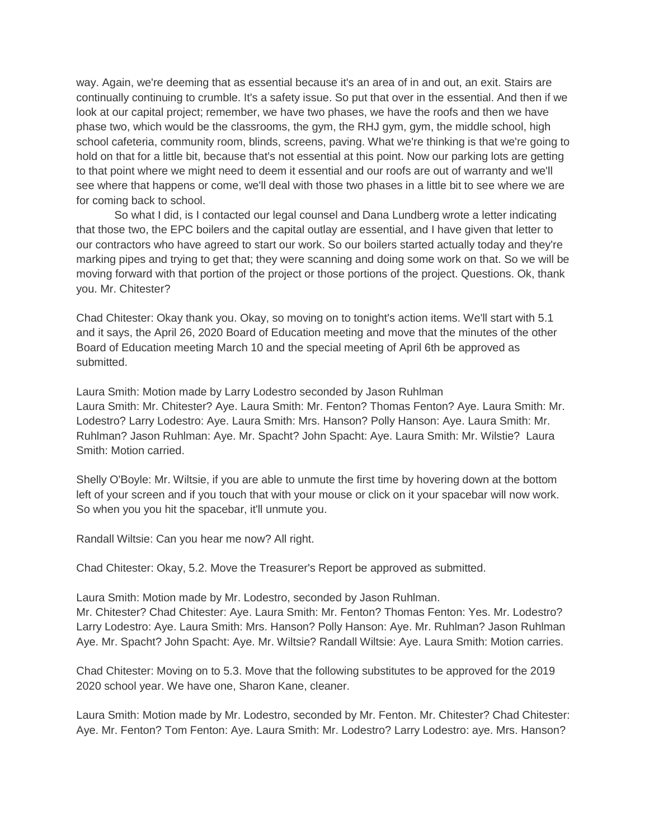way. Again, we're deeming that as essential because it's an area of in and out, an exit. Stairs are continually continuing to crumble. It's a safety issue. So put that over in the essential. And then if we look at our capital project; remember, we have two phases, we have the roofs and then we have phase two, which would be the classrooms, the gym, the RHJ gym, gym, the middle school, high school cafeteria, community room, blinds, screens, paving. What we're thinking is that we're going to hold on that for a little bit, because that's not essential at this point. Now our parking lots are getting to that point where we might need to deem it essential and our roofs are out of warranty and we'll see where that happens or come, we'll deal with those two phases in a little bit to see where we are for coming back to school.

So what I did, is I contacted our legal counsel and Dana Lundberg wrote a letter indicating that those two, the EPC boilers and the capital outlay are essential, and I have given that letter to our contractors who have agreed to start our work. So our boilers started actually today and they're marking pipes and trying to get that; they were scanning and doing some work on that. So we will be moving forward with that portion of the project or those portions of the project. Questions. Ok, thank you. Mr. Chitester?

Chad Chitester: Okay thank you. Okay, so moving on to tonight's action items. We'll start with 5.1 and it says, the April 26, 2020 Board of Education meeting and move that the minutes of the other Board of Education meeting March 10 and the special meeting of April 6th be approved as submitted.

Laura Smith: Motion made by Larry Lodestro seconded by Jason Ruhlman Laura Smith: Mr. Chitester? Aye. Laura Smith: Mr. Fenton? Thomas Fenton? Aye. Laura Smith: Mr. Lodestro? Larry Lodestro: Aye. Laura Smith: Mrs. Hanson? Polly Hanson: Aye. Laura Smith: Mr. Ruhlman? Jason Ruhlman: Aye. Mr. Spacht? John Spacht: Aye. Laura Smith: Mr. Wilstie? Laura Smith: Motion carried.

Shelly O'Boyle: Mr. Wiltsie, if you are able to unmute the first time by hovering down at the bottom left of your screen and if you touch that with your mouse or click on it your spacebar will now work. So when you you hit the spacebar, it'll unmute you.

Randall Wiltsie: Can you hear me now? All right.

Chad Chitester: Okay, 5.2. Move the Treasurer's Report be approved as submitted.

Laura Smith: Motion made by Mr. Lodestro, seconded by Jason Ruhlman.

Mr. Chitester? Chad Chitester: Aye. Laura Smith: Mr. Fenton? Thomas Fenton: Yes. Mr. Lodestro? Larry Lodestro: Aye. Laura Smith: Mrs. Hanson? Polly Hanson: Aye. Mr. Ruhlman? Jason Ruhlman Aye. Mr. Spacht? John Spacht: Aye. Mr. Wiltsie? Randall Wiltsie: Aye. Laura Smith: Motion carries.

Chad Chitester: Moving on to 5.3. Move that the following substitutes to be approved for the 2019 2020 school year. We have one, Sharon Kane, cleaner.

Laura Smith: Motion made by Mr. Lodestro, seconded by Mr. Fenton. Mr. Chitester? Chad Chitester: Aye. Mr. Fenton? Tom Fenton: Aye. Laura Smith: Mr. Lodestro? Larry Lodestro: aye. Mrs. Hanson?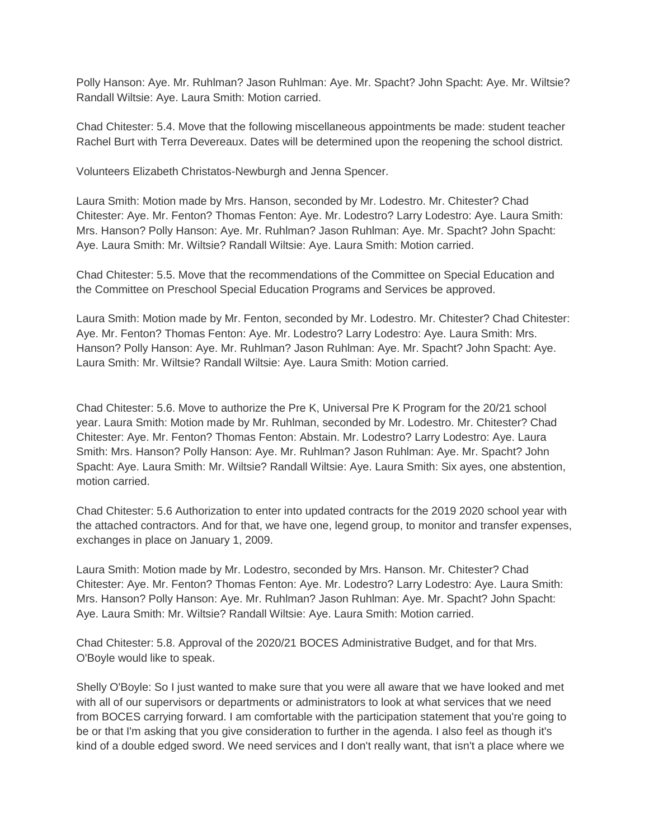Polly Hanson: Aye. Mr. Ruhlman? Jason Ruhlman: Aye. Mr. Spacht? John Spacht: Aye. Mr. Wiltsie? Randall Wiltsie: Aye. Laura Smith: Motion carried.

Chad Chitester: 5.4. Move that the following miscellaneous appointments be made: student teacher Rachel Burt with Terra Devereaux. Dates will be determined upon the reopening the school district.

Volunteers Elizabeth Christatos-Newburgh and Jenna Spencer.

Laura Smith: Motion made by Mrs. Hanson, seconded by Mr. Lodestro. Mr. Chitester? Chad Chitester: Aye. Mr. Fenton? Thomas Fenton: Aye. Mr. Lodestro? Larry Lodestro: Aye. Laura Smith: Mrs. Hanson? Polly Hanson: Aye. Mr. Ruhlman? Jason Ruhlman: Aye. Mr. Spacht? John Spacht: Aye. Laura Smith: Mr. Wiltsie? Randall Wiltsie: Aye. Laura Smith: Motion carried.

Chad Chitester: 5.5. Move that the recommendations of the Committee on Special Education and the Committee on Preschool Special Education Programs and Services be approved.

Laura Smith: Motion made by Mr. Fenton, seconded by Mr. Lodestro. Mr. Chitester? Chad Chitester: Aye. Mr. Fenton? Thomas Fenton: Aye. Mr. Lodestro? Larry Lodestro: Aye. Laura Smith: Mrs. Hanson? Polly Hanson: Aye. Mr. Ruhlman? Jason Ruhlman: Aye. Mr. Spacht? John Spacht: Aye. Laura Smith: Mr. Wiltsie? Randall Wiltsie: Aye. Laura Smith: Motion carried.

Chad Chitester: 5.6. Move to authorize the Pre K, Universal Pre K Program for the 20/21 school year. Laura Smith: Motion made by Mr. Ruhlman, seconded by Mr. Lodestro. Mr. Chitester? Chad Chitester: Aye. Mr. Fenton? Thomas Fenton: Abstain. Mr. Lodestro? Larry Lodestro: Aye. Laura Smith: Mrs. Hanson? Polly Hanson: Aye. Mr. Ruhlman? Jason Ruhlman: Aye. Mr. Spacht? John Spacht: Aye. Laura Smith: Mr. Wiltsie? Randall Wiltsie: Aye. Laura Smith: Six ayes, one abstention, motion carried.

Chad Chitester: 5.6 Authorization to enter into updated contracts for the 2019 2020 school year with the attached contractors. And for that, we have one, legend group, to monitor and transfer expenses, exchanges in place on January 1, 2009.

Laura Smith: Motion made by Mr. Lodestro, seconded by Mrs. Hanson. Mr. Chitester? Chad Chitester: Aye. Mr. Fenton? Thomas Fenton: Aye. Mr. Lodestro? Larry Lodestro: Aye. Laura Smith: Mrs. Hanson? Polly Hanson: Aye. Mr. Ruhlman? Jason Ruhlman: Aye. Mr. Spacht? John Spacht: Aye. Laura Smith: Mr. Wiltsie? Randall Wiltsie: Aye. Laura Smith: Motion carried.

Chad Chitester: 5.8. Approval of the 2020/21 BOCES Administrative Budget, and for that Mrs. O'Boyle would like to speak.

Shelly O'Boyle: So I just wanted to make sure that you were all aware that we have looked and met with all of our supervisors or departments or administrators to look at what services that we need from BOCES carrying forward. I am comfortable with the participation statement that you're going to be or that I'm asking that you give consideration to further in the agenda. I also feel as though it's kind of a double edged sword. We need services and I don't really want, that isn't a place where we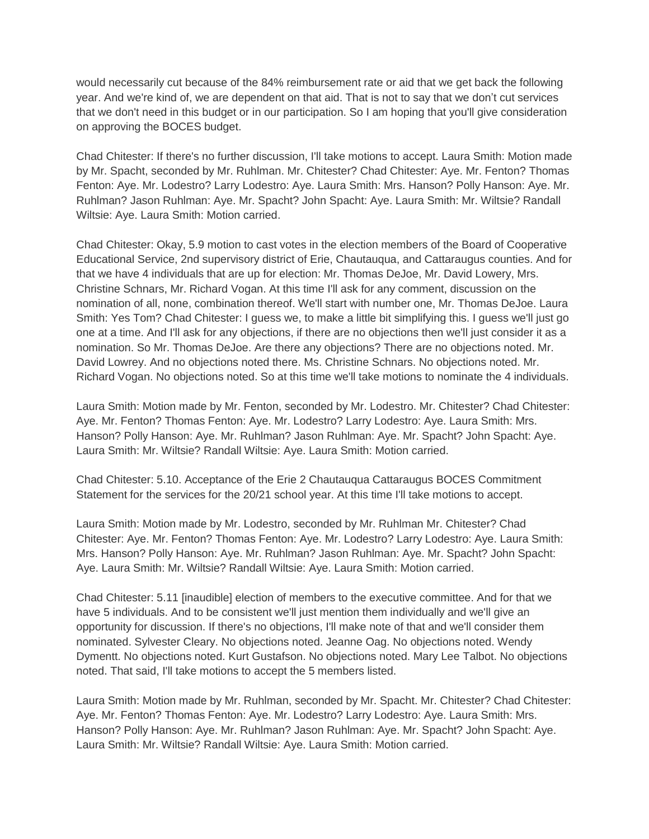would necessarily cut because of the 84% reimbursement rate or aid that we get back the following year. And we're kind of, we are dependent on that aid. That is not to say that we don't cut services that we don't need in this budget or in our participation. So I am hoping that you'll give consideration on approving the BOCES budget.

Chad Chitester: If there's no further discussion, I'll take motions to accept. Laura Smith: Motion made by Mr. Spacht, seconded by Mr. Ruhlman. Mr. Chitester? Chad Chitester: Aye. Mr. Fenton? Thomas Fenton: Aye. Mr. Lodestro? Larry Lodestro: Aye. Laura Smith: Mrs. Hanson? Polly Hanson: Aye. Mr. Ruhlman? Jason Ruhlman: Aye. Mr. Spacht? John Spacht: Aye. Laura Smith: Mr. Wiltsie? Randall Wiltsie: Aye. Laura Smith: Motion carried.

Chad Chitester: Okay, 5.9 motion to cast votes in the election members of the Board of Cooperative Educational Service, 2nd supervisory district of Erie, Chautauqua, and Cattaraugus counties. And for that we have 4 individuals that are up for election: Mr. Thomas DeJoe, Mr. David Lowery, Mrs. Christine Schnars, Mr. Richard Vogan. At this time I'll ask for any comment, discussion on the nomination of all, none, combination thereof. We'll start with number one, Mr. Thomas DeJoe. Laura Smith: Yes Tom? Chad Chitester: I guess we, to make a little bit simplifying this. I guess we'll just go one at a time. And I'll ask for any objections, if there are no objections then we'll just consider it as a nomination. So Mr. Thomas DeJoe. Are there any objections? There are no objections noted. Mr. David Lowrey. And no objections noted there. Ms. Christine Schnars. No objections noted. Mr. Richard Vogan. No objections noted. So at this time we'll take motions to nominate the 4 individuals.

Laura Smith: Motion made by Mr. Fenton, seconded by Mr. Lodestro. Mr. Chitester? Chad Chitester: Aye. Mr. Fenton? Thomas Fenton: Aye. Mr. Lodestro? Larry Lodestro: Aye. Laura Smith: Mrs. Hanson? Polly Hanson: Aye. Mr. Ruhlman? Jason Ruhlman: Aye. Mr. Spacht? John Spacht: Aye. Laura Smith: Mr. Wiltsie? Randall Wiltsie: Aye. Laura Smith: Motion carried.

Chad Chitester: 5.10. Acceptance of the Erie 2 Chautauqua Cattaraugus BOCES Commitment Statement for the services for the 20/21 school year. At this time I'll take motions to accept.

Laura Smith: Motion made by Mr. Lodestro, seconded by Mr. Ruhlman Mr. Chitester? Chad Chitester: Aye. Mr. Fenton? Thomas Fenton: Aye. Mr. Lodestro? Larry Lodestro: Aye. Laura Smith: Mrs. Hanson? Polly Hanson: Aye. Mr. Ruhlman? Jason Ruhlman: Aye. Mr. Spacht? John Spacht: Aye. Laura Smith: Mr. Wiltsie? Randall Wiltsie: Aye. Laura Smith: Motion carried.

Chad Chitester: 5.11 [inaudible] election of members to the executive committee. And for that we have 5 individuals. And to be consistent we'll just mention them individually and we'll give an opportunity for discussion. If there's no objections, I'll make note of that and we'll consider them nominated. Sylvester Cleary. No objections noted. Jeanne Oag. No objections noted. Wendy Dymentt. No objections noted. Kurt Gustafson. No objections noted. Mary Lee Talbot. No objections noted. That said, I'll take motions to accept the 5 members listed.

Laura Smith: Motion made by Mr. Ruhlman, seconded by Mr. Spacht. Mr. Chitester? Chad Chitester: Aye. Mr. Fenton? Thomas Fenton: Aye. Mr. Lodestro? Larry Lodestro: Aye. Laura Smith: Mrs. Hanson? Polly Hanson: Aye. Mr. Ruhlman? Jason Ruhlman: Aye. Mr. Spacht? John Spacht: Aye. Laura Smith: Mr. Wiltsie? Randall Wiltsie: Aye. Laura Smith: Motion carried.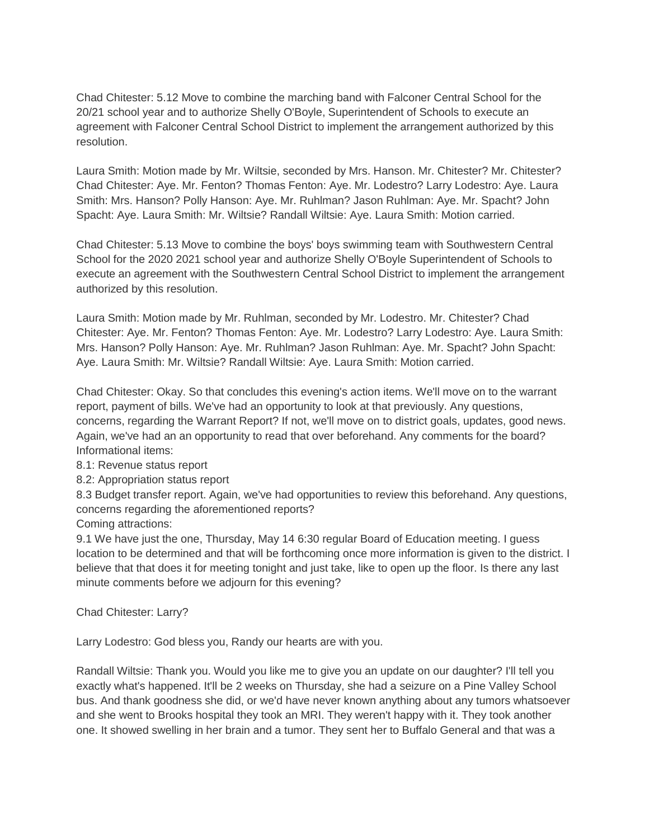Chad Chitester: 5.12 Move to combine the marching band with Falconer Central School for the 20/21 school year and to authorize Shelly O'Boyle, Superintendent of Schools to execute an agreement with Falconer Central School District to implement the arrangement authorized by this resolution.

Laura Smith: Motion made by Mr. Wiltsie, seconded by Mrs. Hanson. Mr. Chitester? Mr. Chitester? Chad Chitester: Aye. Mr. Fenton? Thomas Fenton: Aye. Mr. Lodestro? Larry Lodestro: Aye. Laura Smith: Mrs. Hanson? Polly Hanson: Aye. Mr. Ruhlman? Jason Ruhlman: Aye. Mr. Spacht? John Spacht: Aye. Laura Smith: Mr. Wiltsie? Randall Wiltsie: Aye. Laura Smith: Motion carried.

Chad Chitester: 5.13 Move to combine the boys' boys swimming team with Southwestern Central School for the 2020 2021 school year and authorize Shelly O'Boyle Superintendent of Schools to execute an agreement with the Southwestern Central School District to implement the arrangement authorized by this resolution.

Laura Smith: Motion made by Mr. Ruhlman, seconded by Mr. Lodestro. Mr. Chitester? Chad Chitester: Aye. Mr. Fenton? Thomas Fenton: Aye. Mr. Lodestro? Larry Lodestro: Aye. Laura Smith: Mrs. Hanson? Polly Hanson: Aye. Mr. Ruhlman? Jason Ruhlman: Aye. Mr. Spacht? John Spacht: Aye. Laura Smith: Mr. Wiltsie? Randall Wiltsie: Aye. Laura Smith: Motion carried.

Chad Chitester: Okay. So that concludes this evening's action items. We'll move on to the warrant report, payment of bills. We've had an opportunity to look at that previously. Any questions, concerns, regarding the Warrant Report? If not, we'll move on to district goals, updates, good news. Again, we've had an an opportunity to read that over beforehand. Any comments for the board? Informational items:

8.1: Revenue status report

8.2: Appropriation status report

8.3 Budget transfer report. Again, we've had opportunities to review this beforehand. Any questions, concerns regarding the aforementioned reports?

Coming attractions:

9.1 We have just the one, Thursday, May 14 6:30 regular Board of Education meeting. I guess location to be determined and that will be forthcoming once more information is given to the district. I believe that that does it for meeting tonight and just take, like to open up the floor. Is there any last minute comments before we adjourn for this evening?

Chad Chitester: Larry?

Larry Lodestro: God bless you, Randy our hearts are with you.

Randall Wiltsie: Thank you. Would you like me to give you an update on our daughter? I'll tell you exactly what's happened. It'll be 2 weeks on Thursday, she had a seizure on a Pine Valley School bus. And thank goodness she did, or we'd have never known anything about any tumors whatsoever and she went to Brooks hospital they took an MRI. They weren't happy with it. They took another one. It showed swelling in her brain and a tumor. They sent her to Buffalo General and that was a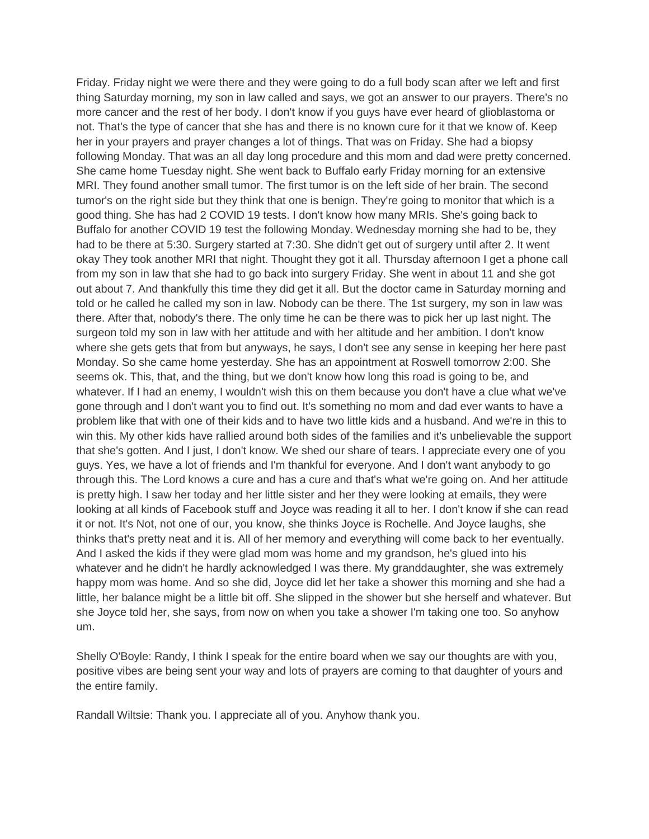Friday. Friday night we were there and they were going to do a full body scan after we left and first thing Saturday morning, my son in law called and says, we got an answer to our prayers. There's no more cancer and the rest of her body. I don't know if you guys have ever heard of glioblastoma or not. That's the type of cancer that she has and there is no known cure for it that we know of. Keep her in your prayers and prayer changes a lot of things. That was on Friday. She had a biopsy following Monday. That was an all day long procedure and this mom and dad were pretty concerned. She came home Tuesday night. She went back to Buffalo early Friday morning for an extensive MRI. They found another small tumor. The first tumor is on the left side of her brain. The second tumor's on the right side but they think that one is benign. They're going to monitor that which is a good thing. She has had 2 COVID 19 tests. I don't know how many MRIs. She's going back to Buffalo for another COVID 19 test the following Monday. Wednesday morning she had to be, they had to be there at 5:30. Surgery started at 7:30. She didn't get out of surgery until after 2. It went okay They took another MRI that night. Thought they got it all. Thursday afternoon I get a phone call from my son in law that she had to go back into surgery Friday. She went in about 11 and she got out about 7. And thankfully this time they did get it all. But the doctor came in Saturday morning and told or he called he called my son in law. Nobody can be there. The 1st surgery, my son in law was there. After that, nobody's there. The only time he can be there was to pick her up last night. The surgeon told my son in law with her attitude and with her altitude and her ambition. I don't know where she gets gets that from but anyways, he says, I don't see any sense in keeping her here past Monday. So she came home yesterday. She has an appointment at Roswell tomorrow 2:00. She seems ok. This, that, and the thing, but we don't know how long this road is going to be, and whatever. If I had an enemy, I wouldn't wish this on them because you don't have a clue what we've gone through and I don't want you to find out. It's something no mom and dad ever wants to have a problem like that with one of their kids and to have two little kids and a husband. And we're in this to win this. My other kids have rallied around both sides of the families and it's unbelievable the support that she's gotten. And I just, I don't know. We shed our share of tears. I appreciate every one of you guys. Yes, we have a lot of friends and I'm thankful for everyone. And I don't want anybody to go through this. The Lord knows a cure and has a cure and that's what we're going on. And her attitude is pretty high. I saw her today and her little sister and her they were looking at emails, they were looking at all kinds of Facebook stuff and Joyce was reading it all to her. I don't know if she can read it or not. It's Not, not one of our, you know, she thinks Joyce is Rochelle. And Joyce laughs, she thinks that's pretty neat and it is. All of her memory and everything will come back to her eventually. And I asked the kids if they were glad mom was home and my grandson, he's glued into his whatever and he didn't he hardly acknowledged I was there. My granddaughter, she was extremely happy mom was home. And so she did, Joyce did let her take a shower this morning and she had a little, her balance might be a little bit off. She slipped in the shower but she herself and whatever. But she Joyce told her, she says, from now on when you take a shower I'm taking one too. So anyhow um.

Shelly O'Boyle: Randy, I think I speak for the entire board when we say our thoughts are with you, positive vibes are being sent your way and lots of prayers are coming to that daughter of yours and the entire family.

Randall Wiltsie: Thank you. I appreciate all of you. Anyhow thank you.